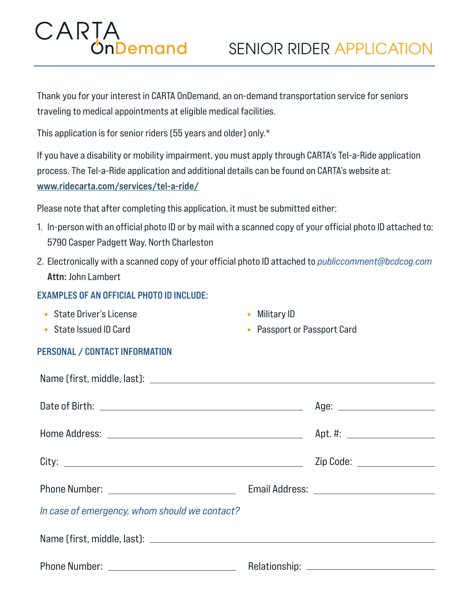## CARTA<br>OnDemand

Thank you for your interest in CARTA OnDemand, an on-demand transportation service for seniors traveling to medical appointments at eligible medical facilities.

This application is for senior riders (55 years and older) only.\*

If you have a disability or mobility impairment, you must apply through CARTA's Tel-a-Ride application process. The Tel-a-Ride application and additional details can be found on CARTA's website at: www.ridecarta.com/services/tel-a-ride/

Please note that after completing this application, it must be submitted either:

- 1. In-person with an official photo ID or by mail with a scanned copy of your official photo ID attached to: 5790 Casper Padgett Way, North Charleston
- 2. Electronically with a scanned copy of your official photo ID attached to *publiccomment@bcdcog.com* Attn: John Lambert

## EXAMPLES OF AN OFFICIAL PHOTO ID INCLUDE:

- State Driver's License
- State Issued ID Card
- Military ID
- Passport or Passport Card

## PERSONAL / CONTACT INFORMATION

|                                               | Age: __________________________ |
|-----------------------------------------------|---------------------------------|
|                                               |                                 |
|                                               | Zip Code: ________________      |
|                                               |                                 |
| In case of emergency, whom should we contact? |                                 |
|                                               |                                 |
|                                               |                                 |